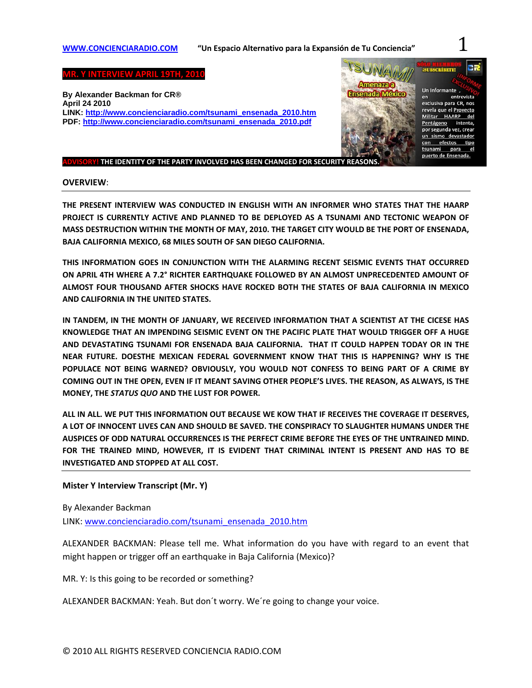# **WWW.CONCIENCIARADIO.COM "Un Espacio Alternativo para la Expansión de Tu Conciencia"** 1

**MR. Y INTERVIEW APRIL 19TH, 2010** 

**By Alexander Backman for CR® April 24 2010 LINK: http://www.concienciaradio.com/tsunami\_ensenada\_2010.htm PDF: http://www.concienciaradio.com/tsunami\_ensenada\_2010.pdf**

#### **ADVISORY! THE IDENTITY OF THE PARTY INVOLVED HAS BEEN CHANGED FOR SECURITY REASONS.**

#### **OVERVIEW**:

**THE PRESENT INTERVIEW WAS CONDUCTED IN ENGLISH WITH AN INFORMER WHO STATES THAT THE HAARP PROJECT IS CURRENTLY ACTIVE AND PLANNED TO BE DEPLOYED AS A TSUNAMI AND TECTONIC WEAPON OF MASS DESTRUCTION WITHIN THE MONTH OF MAY, 2010. THE TARGET CITY WOULD BE THE PORT OF ENSENADA, BAJA CALIFORNIA MEXICO, 68 MILES SOUTH OF SAN DIEGO CALIFORNIA.** 

**THIS INFORMATION GOES IN CONJUNCTION WITH THE ALARMING RECENT SEISMIC EVENTS THAT OCCURRED ON APRIL 4TH WHERE A 7.2° RICHTER EARTHQUAKE FOLLOWED BY AN ALMOST UNPRECEDENTED AMOUNT OF ALMOST FOUR THOUSAND AFTER SHOCKS HAVE ROCKED BOTH THE STATES OF BAJA CALIFORNIA IN MEXICO AND CALIFORNIA IN THE UNITED STATES.** 

**IN TANDEM, IN THE MONTH OF JANUARY, WE RECEIVED INFORMATION THAT A SCIENTIST AT THE CICESE HAS KNOWLEDGE THAT AN IMPENDING SEISMIC EVENT ON THE PACIFIC PLATE THAT WOULD TRIGGER OFF A HUGE AND DEVASTATING TSUNAMI FOR ENSENADA BAJA CALIFORNIA. THAT IT COULD HAPPEN TODAY OR IN THE NEAR FUTURE. DOESTHE MEXICAN FEDERAL GOVERNMENT KNOW THAT THIS IS HAPPENING? WHY IS THE POPULACE NOT BEING WARNED? OBVIOUSLY, YOU WOULD NOT CONFESS TO BEING PART OF A CRIME BY** COMING OUT IN THE OPEN, EVEN IF IT MEANT SAVING OTHER PEOPLE'S LIVES. THE REASON, AS ALWAYS, IS THE **MONEY, THE** *STATUS QUO* **AND THE LUST FOR POWER.**

**ALL IN ALL. WE PUT THIS INFORMATION OUT BECAUSE WE KOW THAT IF RECEIVES THE COVERAGE IT DESERVES, A LOT OF INNOCENT LIVES CAN AND SHOULD BE SAVED. THE CONSPIRACY TO SLAUGHTER HUMANS UNDER THE AUSPICES OF ODD NATURAL OCCURRENCES IS THE PERFECT CRIME BEFORE THE EYES OF THE UNTRAINED MIND. FOR THE TRAINED MIND, HOWEVER, IT IS EVIDENT THAT CRIMINAL INTENT IS PRESENT AND HAS TO BE INVESTIGATED AND STOPPED AT ALL COST.**

#### **Mister Y Interview Transcript (Mr. Y)**

By Alexander Backman

LINK: www.concienciaradio.com/tsunami\_ensenada\_2010.htm

ALEXANDER BACKMAN: Please tell me. What information do you have with regard to an event that might happen or trigger off an earthquake in Baja California (Mexico)?

MR. Y: Is this going to be recorded or something?

ALEXANDER BACKMAN: Yeah. But don´t worry. We´re going to change your voice.



entrevista

del

el

intenta.

efectos tipo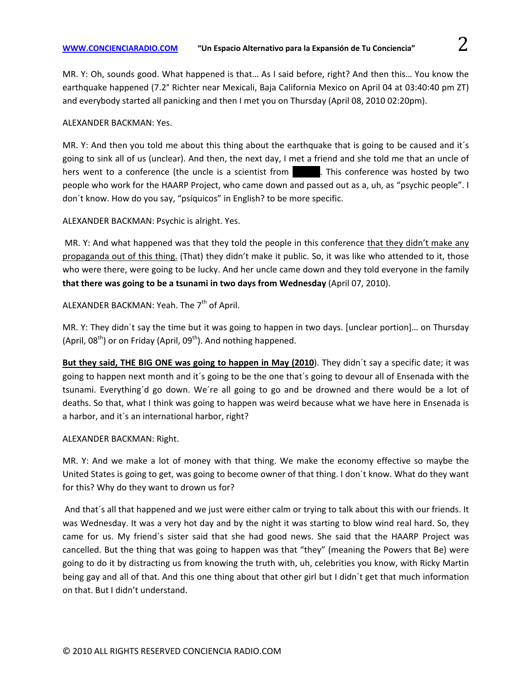MR. Y: Oh, sounds good. What happened is that… As I said before, right? And then this… You know the earthquake happened (7.2° Richter near Mexicali, Baja California Mexico on April 04 at 03:40:40 pm ZT) and everybody started all panicking and then I met you on Thursday (April 08, 2010 02:20pm).

# ALEXANDER BACKMAN: Yes.

MR. Y: And then you told me about this thing about the earthquake that is going to be caused and it´s going to sink all of us (unclear). And then, the next day, I met a friend and she told me that an uncle of hers went to a conference (the uncle is a scientist from  $\blacksquare$ . This conference was hosted by two people who work for the HAARP Project, who came down and passed out as a, uh, as "psychic people". I don´t know. How do you say, "psíquicos" in English? to be more specific.

ALEXANDER BACKMAN: Psychic is alright. Yes.

MR. Y: And what happened was that they told the people in this conference that they didn't make any propaganda out of this thing. (That) they didn't make it public. So, it was like who attended to it, those who were there, were going to be lucky. And her uncle came down and they told everyone in the family **that there was going to be a tsunami in two days from Wednesday** (April 07, 2010).

# ALEXANDER BACKMAN: Yeah. The 7<sup>th</sup> of April.

MR. Y: They didn´t say the time but it was going to happen in two days. [unclear portion]… on Thursday (April,  $08^{th}$ ) or on Friday (April,  $09^{th}$ ). And nothing happened.

**But they said, THE BIG ONE was going to happen in May (2010**). They didn´t say a specific date; it was going to happen next month and it´s going to be the one that´s going to devour all of Ensenada with the tsunami. Everything´d go down. We´re all going to go and be drowned and there would be a lot of deaths. So that, what I think was going to happen was weird because what we have here in Ensenada is a harbor, and it´s an international harbor, right?

# ALEXANDER BACKMAN: Right.

MR. Y: And we make a lot of money with that thing. We make the economy effective so maybe the United States is going to get, was going to become owner of that thing. I don´t know. What do they want for this? Why do they want to drown us for?

And that´s all that happened and we just were either calm or trying to talk about this with our friends. It was Wednesday. It was a very hot day and by the night it was starting to blow wind real hard. So, they came for us. My friend´s sister said that she had good news. She said that the HAARP Project was cancelled. But the thing that was going to happen was that "they" (meaning the Powers that Be) were going to do it by distracting us from knowing the truth with, uh, celebrities you know, with Ricky Martin being gay and all of that. And this one thing about that other girl but I didn´t get that much information on that. But I didn't understand.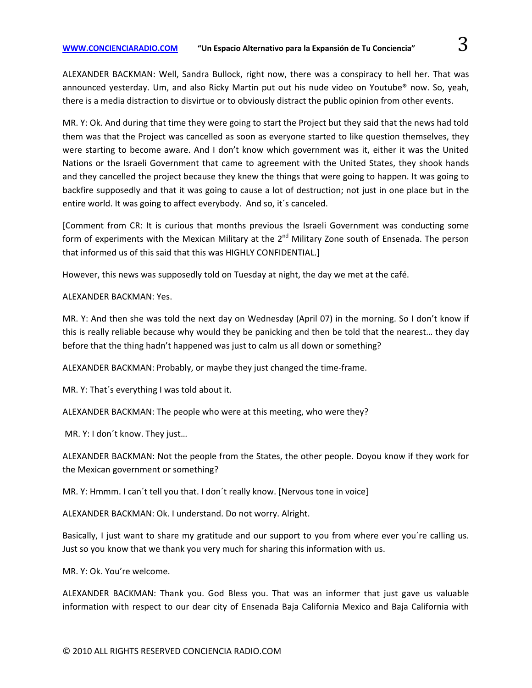ALEXANDER BACKMAN: Well, Sandra Bullock, right now, there was a conspiracy to hell her. That was announced yesterday. Um, and also Ricky Martin put out his nude video on Youtube® now. So, yeah, there is a media distraction to disvirtue or to obviously distract the public opinion from other events.

MR. Y: Ok. And during that time they were going to start the Project but they said that the news had told them was that the Project was cancelled as soon as everyone started to like question themselves, they were starting to become aware. And I don't know which government was it, either it was the United Nations or the Israeli Government that came to agreement with the United States, they shook hands and they cancelled the project because they knew the things that were going to happen. It was going to backfire supposedly and that it was going to cause a lot of destruction; not just in one place but in the entire world. It was going to affect everybody. And so, it´s canceled.

[Comment from CR: It is curious that months previous the Israeli Government was conducting some form of experiments with the Mexican Military at the  $2^{nd}$  Military Zone south of Ensenada. The person that informed us of this said that this was HIGHLY CONFIDENTIAL.]

However, this news was supposedly told on Tuesday at night, the day we met at the café.

# ALEXANDER BACKMAN: Yes.

MR. Y: And then she was told the next day on Wednesday (April 07) in the morning. So I don't know if this is really reliable because why would they be panicking and then be told that the nearest… they day before that the thing hadn't happened was just to calm us all down or something?

ALEXANDER BACKMAN: Probably, or maybe they just changed the time‐frame.

MR. Y: That´s everything I was told about it.

ALEXANDER BACKMAN: The people who were at this meeting, who were they?

MR. Y: I don´t know. They just…

ALEXANDER BACKMAN: Not the people from the States, the other people. Doyou know if they work for the Mexican government or something?

MR. Y: Hmmm. I can´t tell you that. I don´t really know. [Nervous tone in voice]

ALEXANDER BACKMAN: Ok. I understand. Do not worry. Alright.

Basically, I just want to share my gratitude and our support to you from where ever you´re calling us. Just so you know that we thank you very much for sharing this information with us.

MR. Y: Ok. You're welcome.

ALEXANDER BACKMAN: Thank you. God Bless you. That was an informer that just gave us valuable information with respect to our dear city of Ensenada Baja California Mexico and Baja California with